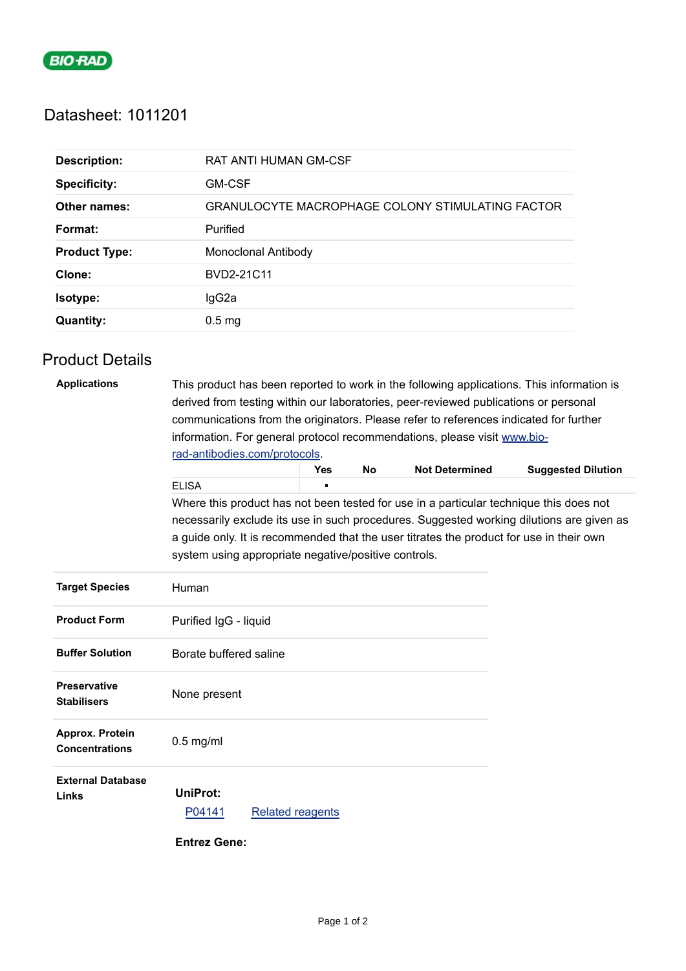

# Datasheet: 1011201

| <b>Description:</b>  | <b>RAT ANTI HUMAN GM-CSF</b>                     |
|----------------------|--------------------------------------------------|
| <b>Specificity:</b>  | <b>GM-CSF</b>                                    |
| Other names:         | GRANULOCYTE MACROPHAGE COLONY STIMULATING FACTOR |
| Format:              | Purified                                         |
| <b>Product Type:</b> | Monoclonal Antibody                              |
| Clone:               | BVD2-21C11                                       |
| Isotype:             | IgG2a                                            |
| <b>Quantity:</b>     | $0.5$ mg                                         |
|                      |                                                  |

# Product Details

| <b>Applications</b>                       | This product has been reported to work in the following applications. This information is<br>derived from testing within our laboratories, peer-reviewed publications or personal<br>communications from the originators. Please refer to references indicated for further |                         |           |                       |                           |  |  |
|-------------------------------------------|----------------------------------------------------------------------------------------------------------------------------------------------------------------------------------------------------------------------------------------------------------------------------|-------------------------|-----------|-----------------------|---------------------------|--|--|
|                                           | information. For general protocol recommendations, please visit www.bio-<br>rad-antibodies.com/protocols.                                                                                                                                                                  |                         |           |                       |                           |  |  |
|                                           |                                                                                                                                                                                                                                                                            | <b>Yes</b>              | <b>No</b> | <b>Not Determined</b> | <b>Suggested Dilution</b> |  |  |
|                                           | <b>ELISA</b>                                                                                                                                                                                                                                                               |                         |           |                       |                           |  |  |
|                                           | Where this product has not been tested for use in a particular technique this does not                                                                                                                                                                                     |                         |           |                       |                           |  |  |
|                                           | necessarily exclude its use in such procedures. Suggested working dilutions are given as<br>a guide only. It is recommended that the user titrates the product for use in their own<br>system using appropriate negative/positive controls.                                |                         |           |                       |                           |  |  |
| <b>Target Species</b>                     | Human                                                                                                                                                                                                                                                                      |                         |           |                       |                           |  |  |
| <b>Product Form</b>                       | Purified IgG - liquid                                                                                                                                                                                                                                                      |                         |           |                       |                           |  |  |
| <b>Buffer Solution</b>                    | Borate buffered saline                                                                                                                                                                                                                                                     |                         |           |                       |                           |  |  |
| <b>Preservative</b><br><b>Stabilisers</b> | None present                                                                                                                                                                                                                                                               |                         |           |                       |                           |  |  |
| Approx. Protein<br><b>Concentrations</b>  | $0.5$ mg/ml                                                                                                                                                                                                                                                                |                         |           |                       |                           |  |  |
| <b>External Database</b><br>Links         | <b>UniProt:</b><br>P04141<br><b>Entrez Gene:</b>                                                                                                                                                                                                                           | <b>Related reagents</b> |           |                       |                           |  |  |